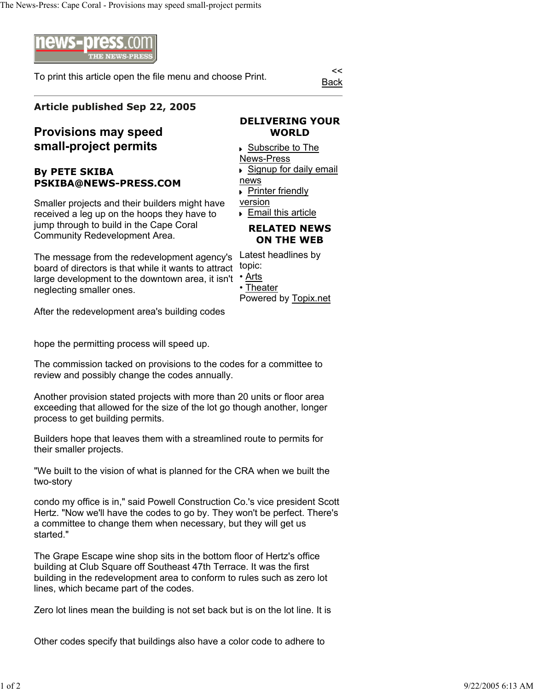

To print this article open the file menu and choose Print.

Back

## **Article published Sep 22, 2005**

## **Provisions may speed small-project permits**

## **By PETE SKIBA PSKIBA@NEWS-PRESS.COM**

Smaller projects and their builders might have received a leg up on the hoops they have to jump through to build in the Cape Coral Community Redevelopment Area.

large development to the downtown area, it isn't <sup>•</sup> Arts The message from the redevelopment agency's board of directors is that while it wants to attract neglecting smaller ones.

After the redevelopment area's building codes

hope the permitting process will speed up.

The commission tacked on provisions to the codes for a committee to review and possibly change the codes annually.

Another provision stated projects with more than 20 units or floor area exceeding that allowed for the size of the lot go though another, longer process to get building permits.

Builders hope that leaves them with a streamlined route to permits for their smaller projects.

"We built to the vision of what is planned for the CRA when we built the two-story

condo my office is in," said Powell Construction Co.'s vice president Scott Hertz. "Now we'll have the codes to go by. They won't be perfect. There's a committee to change them when necessary, but they will get us started."

The Grape Escape wine shop sits in the bottom floor of Hertz's office building at Club Square off Southeast 47th Terrace. It was the first building in the redevelopment area to conform to rules such as zero lot lines, which became part of the codes.

Zero lot lines mean the building is not set back but is on the lot line. It is

Other codes specify that buildings also have a color code to adhere to

## **DELIVERING YOUR WORLD**

 Subscribe to The News-Press Signup for daily email news **Printer friendly** version **Email this article** 

**RELATED NEWS ON THE WEB**

Latest headlines by topic:

• Theater

Powered by Topix.net